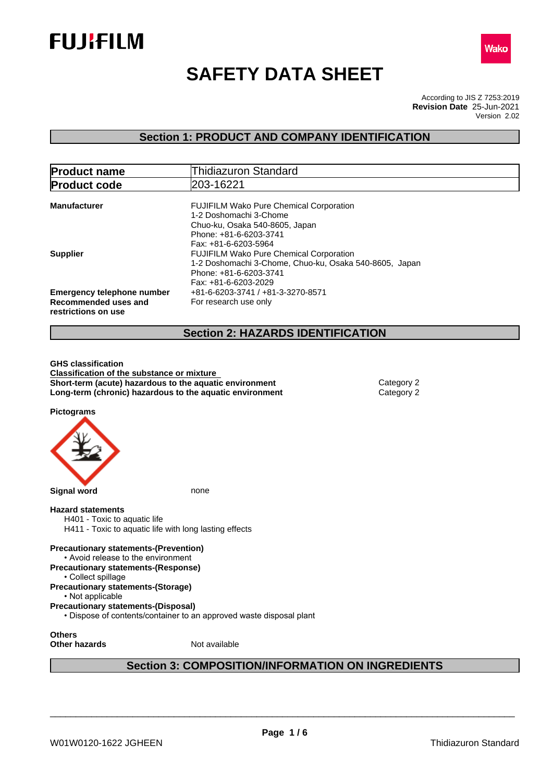



# **SAFETY DATA SHEET**

According to JIS Z 7253:2019 Version 2.02 **Revision Date** 25-Jun-2021

# **Section 1: PRODUCT AND COMPANY IDENTIFICATION**

| <b>Product name</b>                                                              | <b>Thidiazuron Standard</b>                                                                                                                                  |
|----------------------------------------------------------------------------------|--------------------------------------------------------------------------------------------------------------------------------------------------------------|
| <b>Product code</b>                                                              | 203-16221                                                                                                                                                    |
| <b>Manufacturer</b>                                                              | <b>FUJIFILM Wako Pure Chemical Corporation</b><br>1-2 Doshomachi 3-Chome<br>Chuo-ku, Osaka 540-8605, Japan<br>Phone: +81-6-6203-3741<br>Fax: +81-6-6203-5964 |
| <b>Supplier</b>                                                                  | <b>FUJIFILM Wako Pure Chemical Corporation</b><br>1-2 Doshomachi 3-Chome, Chuo-ku, Osaka 540-8605, Japan<br>Phone: +81-6-6203-3741<br>Fax: +81-6-6203-2029   |
| <b>Emergency telephone number</b><br>Recommended uses and<br>restrictions on use | +81-6-6203-3741 / +81-3-3270-8571<br>For research use only                                                                                                   |
|                                                                                  | <b>Section 2: HAZARDS IDENTIFICATION</b>                                                                                                                     |

**GHS classification Classification of the substance or mixture Short-term (acute) hazardous to the aquatic environment** Category 2 **Long-term (chronic) hazardous to the aquatic environment** Category 2

**Pictograms**



**Section 3: COMPOSITION/INFORMATION ON INGREDIENTS**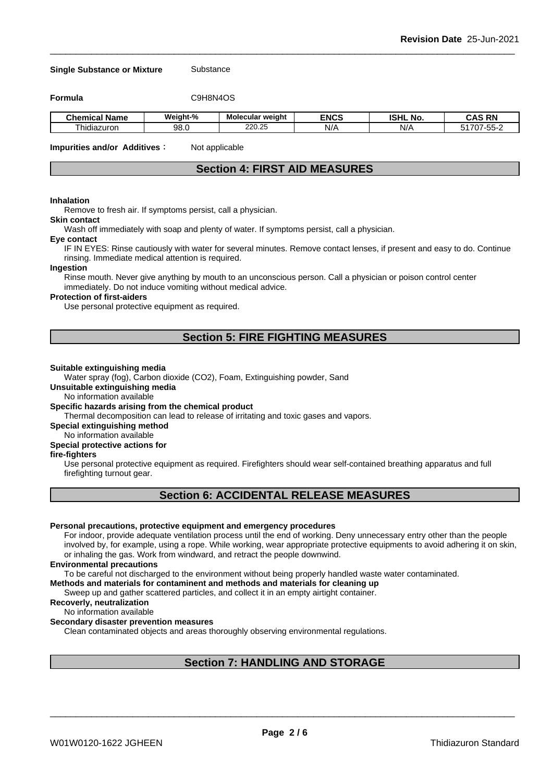**Single Substance or Mixture** Substance

**Formula** C9H8N4OS

| <b>Chemical</b><br>--<br>Name | Weiaht-%         | Molecular weight | <b>ENCS</b> | <b>ISHL</b><br>No. | <b>RN</b><br>~^c<br>м.    |
|-------------------------------|------------------|------------------|-------------|--------------------|---------------------------|
| hidiazuron                    | 98. <sub>0</sub> | 220.25           | N/          | NI.<br>N/          | $- -$<br>1707<br>┒-<br>ື້ |

**Impurities and/or Additives**: Not applicable

# **Section 4: FIRST AID MEASURES**

#### **Inhalation**

Remove to fresh air. If symptoms persist, call a physician.

# **Skin contact**

Wash off immediately with soap and plenty of water. If symptoms persist, calla physician.

#### **Eye contact**

IF IN EYES: Rinse cautiously with water for several minutes. Remove contact lenses, if present and easy to do. Continue rinsing. Immediate medical attention is required.

#### **Ingestion**

Rinse mouth. Never give anything by mouth to an unconscious person. Call a physician or poison control center immediately. Do not induce vomiting without medical advice.

#### **Protection of first-aiders**

Use personal protective equipment as required.

# **Section 5: FIRE FIGHTING MEASURES**

#### **Suitable extinguishing media**

Water spray (fog), Carbon dioxide (CO2), Foam, Extinguishing powder, Sand

**Unsuitable extinguishing media**

No information available

#### **Specific hazards arising from the chemical product**

Thermal decomposition can lead to release of irritating and toxic gases and vapors.

**Special extinguishing method**

#### No information available

#### **Special protective actions for**

#### **fire-fighters**

Use personal protective equipment as required.Firefighters should wear self-contained breathing apparatus and full firefighting turnout gear.

# **Section 6: ACCIDENTAL RELEASE MEASURES**

#### **Personal precautions, protective equipment and emergency procedures**

For indoor, provide adequate ventilation process until the end of working. Deny unnecessary entry other than the people involved by, for example, using a rope. While working, wear appropriate protective equipments to avoid adhering it on skin, or inhaling the gas. Work from windward, and retract the people downwind.

#### **Environmental precautions**

To be careful not discharged to the environment without being properly handled waste water contaminated.

#### **Methods and materials for contaminent and methods and materials for cleaning up**

Sweep up and gather scattered particles, and collect it in an empty airtight container.

# **Recoverly, neutralization**

#### No information available

#### **Secondary disaster prevention measures**

Clean contaminated objects and areas thoroughly observing environmental regulations.

# **Section 7: HANDLING AND STORAGE**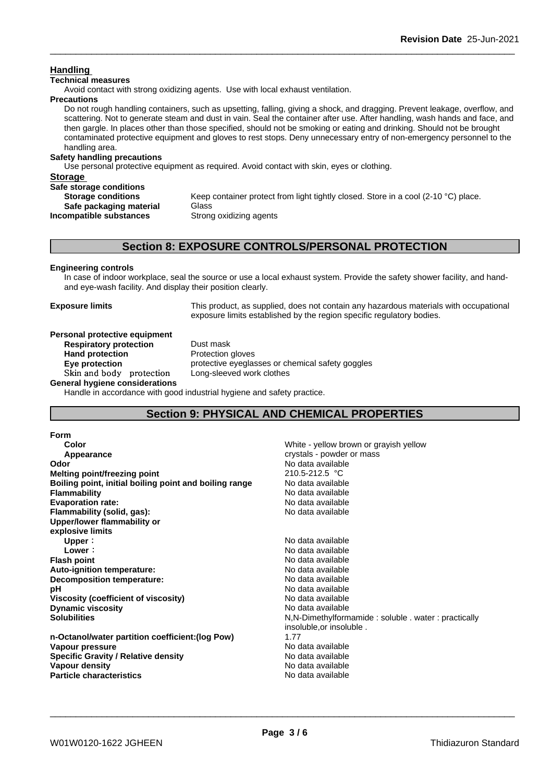# **Handling**

#### **Technical measures**

Avoid contact with strong oxidizing agents. Use with local exhaust ventilation.

#### **Precautions**

Do not rough handling containers, such as upsetting, falling, giving a shock, and dragging. Prevent leakage, overflow, and scattering. Not to generate steam and dust in vain. Seal the container after use. After handling, wash hands and face, and then gargle. In places other than those specified, should not be smoking or eating and drinking. Should not be brought contaminated protective equipment and gloves to rest stops. Deny unnecessary entry of non-emergency personnel to the handling area.

### **Safety handling precautions**

Use personal protective equipment as required.Avoid contact with skin, eyes or clothing.

| Storage                   |                                                                                    |
|---------------------------|------------------------------------------------------------------------------------|
| Safe storage conditions   |                                                                                    |
| <b>Storage conditions</b> | Keep container protect from light tightly closed. Store in a cool (2-10 °C) place. |
| Safe packaging material   | Glass                                                                              |
| Incompatible substances   | Strong oxidizing agents                                                            |
|                           |                                                                                    |

# **Section 8: EXPOSURE CONTROLS/PERSONAL PROTECTION**

#### **Engineering controls**

In case of indoor workplace, seal the source or use a local exhaust system. Provide the safety shower facility, and handand eye-wash facility. And display their position clearly.

**Exposure limits** This product, as supplied, does not contain any hazardous materials with occupational exposure limits established by the region specific regulatory bodies.

#### **Personal protective equipment**<br>**Respiratory protection** Dust mask **Respiratory** protection

**Hand protection** Protection gloves **Eye protection Eye protective** eyeglasses or chemical safety goggles **Skinandbody protection** Long-sleeved work clothes

**General hygiene considerations**

Handle in accordance with good industrial hygiene and safety practice.

# **Section 9: PHYSICAL AND CHEMICAL PROPERTIES**

#### **Form**

| Color                                                  | White - yellow brown or grayish yellow             |
|--------------------------------------------------------|----------------------------------------------------|
| Appearance                                             | crystals - powder or mass                          |
| Odor                                                   | No data available                                  |
| Melting point/freezing point                           | 210.5-212.5 °C                                     |
| Boiling point, initial boiling point and boiling range | No data available                                  |
| <b>Flammability</b>                                    | No data available                                  |
| <b>Evaporation rate:</b>                               | No data available                                  |
| Flammability (solid, gas):                             | No data available                                  |
| Upper/lower flammability or                            |                                                    |
| explosive limits                                       |                                                    |
| Upper:                                                 | No data available                                  |
| Lower:                                                 | No data available                                  |
| <b>Flash point</b>                                     | No data available                                  |
| Auto-ignition temperature:                             | No data available                                  |
| Decomposition temperature:                             | No data available                                  |
| рH                                                     | No data available                                  |
| Viscosity (coefficient of viscosity)                   | No data available                                  |
| <b>Dynamic viscosity</b>                               | No data available                                  |
| <b>Solubilities</b>                                    | N,N-Dimethylformamide: soluble. water: practically |
|                                                        | insoluble, or insoluble.                           |
| n-Octanol/water partition coefficient: (log Pow)       | 1.77                                               |
| Vapour pressure                                        | No data available                                  |
| <b>Specific Gravity / Relative density</b>             | No data available                                  |
| Vapour density                                         | No data available                                  |
| <b>Particle characteristics</b>                        | No data available                                  |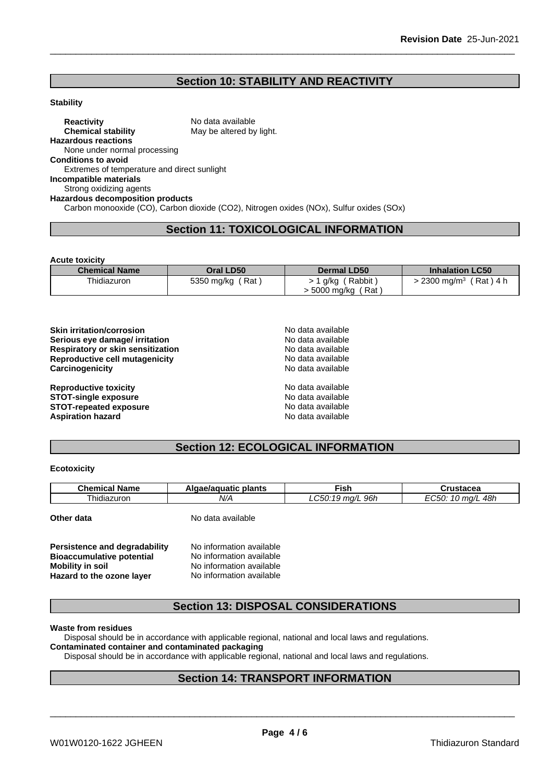# **Section 10: STABILITY AND REACTIVITY**

#### **Stability**

**Reactivity** No data available<br> **Chemical stability** May be altered by May be altered by light. **Hazardous reactions** None under normal processing **Conditions to avoid** Extremes of temperature and direct sunlight **Incompatible materials** Strong oxidizing agents **Hazardous decomposition products**

# Carbon monooxide (CO), Carbon dioxide (CO2), Nitrogen oxides (NOx), Sulfur oxides (SOx)

# **Section 11: TOXICOLOGICAL INFORMATION**

**Acute toxicity**

| <b>Chemical Name</b> | Oral LD50           | <b>Dermal LD50</b> | <b>Inhalation LC50</b>              |
|----------------------|---------------------|--------------------|-------------------------------------|
| Thidiazuron          | Rat<br>5350 mg/kg / | Rabbit<br>g/kg     | (Rat)4 h<br>$2300 \; \text{ma/m}^3$ |
|                      |                     | (Rat<br>5000 mg/kg |                                     |

| <b>Skin irritation/corrosion</b>         | No data available |  |
|------------------------------------------|-------------------|--|
| Serious eye damage/ irritation           | No data available |  |
| <b>Respiratory or skin sensitization</b> | No data available |  |
| Reproductive cell mutagenicity           | No data available |  |
| Carcinogenicity                          | No data available |  |
| <b>Reproductive toxicity</b>             | No data available |  |
| <b>STOT-single exposure</b>              | No data available |  |
| <b>STOT-repeated exposure</b>            | No data available |  |
| <b>Aspiration hazard</b>                 | No data available |  |

# **Section 12: ECOLOGICAL INFORMATION**

#### **Ecotoxicity**

| <b>Chemical Name</b> | Algae/aguatic plants | Fish             | Crustacea         |
|----------------------|----------------------|------------------|-------------------|
| Thidiazuron          | N/A                  | LC50:19 mg/L 96h | EC50: 10 mg/L 48h |
| Other data           | No data available    |                  |                   |
|                      |                      |                  |                   |

| Persistence and degradability    | No information available |  |
|----------------------------------|--------------------------|--|
| <b>Bioaccumulative potential</b> | No information available |  |
| Mobility in soil                 | No information available |  |
| Hazard to the ozone layer        | No information available |  |

# **Section 13: DISPOSAL CONSIDERATIONS**

#### **Waste from residues**

Disposal should be in accordance with applicable regional, national and local laws and regulations.

### **Contaminated container and contaminated packaging**

Disposal should be in accordance with applicable regional, national and local laws and regulations.

# **Section 14: TRANSPORT INFORMATION**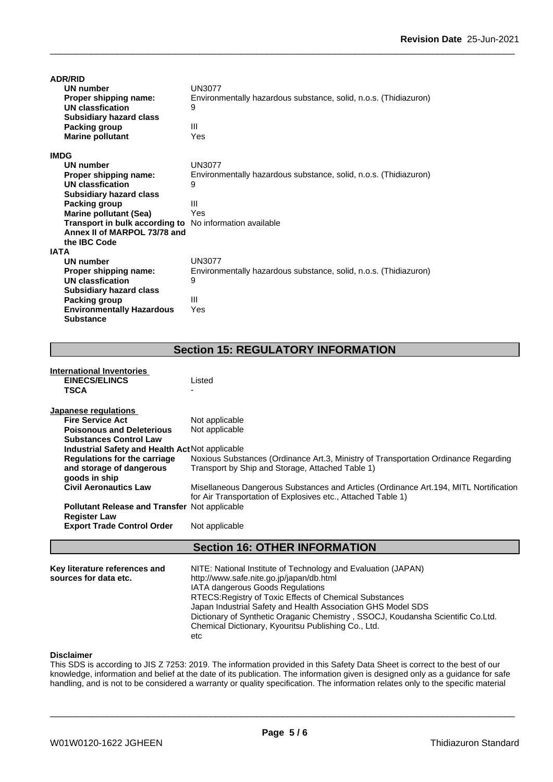| <b>ADR/RID</b>                   |                                                                  |
|----------------------------------|------------------------------------------------------------------|
| <b>UN number</b>                 | <b>UN3077</b>                                                    |
| Proper shipping name:            | Environmentally hazardous substance, solid, n.o.s. (Thidiazuron) |
| UN classfication                 | 9                                                                |
| <b>Subsidiary hazard class</b>   |                                                                  |
| <b>Packing group</b>             | Ш                                                                |
| <b>Marine pollutant</b>          | Yes                                                              |
| <b>IMDG</b>                      |                                                                  |
| <b>UN number</b>                 | UN3077                                                           |
| Proper shipping name:            | Environmentally hazardous substance, solid, n.o.s. (Thidiazuron) |
| UN classfication                 | 9                                                                |
| <b>Subsidiary hazard class</b>   |                                                                  |
| Packing group                    | Ш                                                                |
| <b>Marine pollutant (Sea)</b>    | Yes                                                              |
| Transport in bulk according to   | No information available                                         |
| Annex II of MARPOL 73/78 and     |                                                                  |
| the <b>IBC</b> Code              |                                                                  |
| <b>IATA</b>                      |                                                                  |
| <b>UN number</b>                 | <b>UN3077</b>                                                    |
| Proper shipping name:            | Environmentally hazardous substance, solid, n.o.s. (Thidiazuron) |
| UN classfication                 | 9                                                                |
| <b>Subsidiary hazard class</b>   |                                                                  |
| Packing group                    | Ш                                                                |
| <b>Environmentally Hazardous</b> | Yes                                                              |
| <b>Substance</b>                 |                                                                  |

# **Section 15: REGULATORY INFORMATION**

| <b>International Inventories</b>                                            |                                                                                                                                                        |
|-----------------------------------------------------------------------------|--------------------------------------------------------------------------------------------------------------------------------------------------------|
| <b>EINECS/ELINCS</b>                                                        | Listed                                                                                                                                                 |
| <b>TSCA</b>                                                                 |                                                                                                                                                        |
| Japanese regulations                                                        |                                                                                                                                                        |
| <b>Fire Service Act</b>                                                     | Not applicable                                                                                                                                         |
| <b>Poisonous and Deleterious</b>                                            | Not applicable                                                                                                                                         |
| <b>Substances Control Law</b>                                               |                                                                                                                                                        |
| <b>Industrial Safety and Health Act Not applicable</b>                      |                                                                                                                                                        |
| <b>Regulations for the carriage</b>                                         | Noxious Substances (Ordinance Art.3, Ministry of Transportation Ordinance Regarding                                                                    |
| and storage of dangerous                                                    | Transport by Ship and Storage, Attached Table 1)                                                                                                       |
| goods in ship                                                               |                                                                                                                                                        |
| <b>Civil Aeronautics Law</b>                                                | Misellaneous Dangerous Substances and Articles (Ordinance Art. 194, MITL Nortification<br>for Air Transportation of Explosives etc., Attached Table 1) |
| <b>Pollutant Release and Transfer Not applicable</b><br><b>Register Law</b> |                                                                                                                                                        |
| <b>Export Trade Control Order</b>                                           | Not applicable                                                                                                                                         |
|                                                                             | <b>Section 16: OTHER INFORMATION</b>                                                                                                                   |
|                                                                             |                                                                                                                                                        |
| Key literature references and                                               | NITE: National Institute of Technology and Evaluation (JAPAN)                                                                                          |
| sources for data etc.                                                       | http://www.safe.nite.go.jp/japan/db.html                                                                                                               |
|                                                                             | IATA dangerous Goods Regulations                                                                                                                       |
|                                                                             | RTECS: Registry of Toxic Effects of Chemical Substances                                                                                                |

#### **Disclaimer**

This SDS is according to JIS Z 7253: 2019. The information provided in this Safety Data Sheet is correct to the best of our knowledge, information and belief at the date of its publication. The information given is designed only as a guidance for safe handling, and is not to be considered a warranty or quality specification. The information relates only to the specific material

Chemical Dictionary, Kyouritsu Publishing Co., Ltd.

etc

Japan Industrial Safety and Health Association GHS Model SDS

Dictionary of Synthetic Oraganic Chemistry , SSOCJ, Koudansha Scientific Co.Ltd.